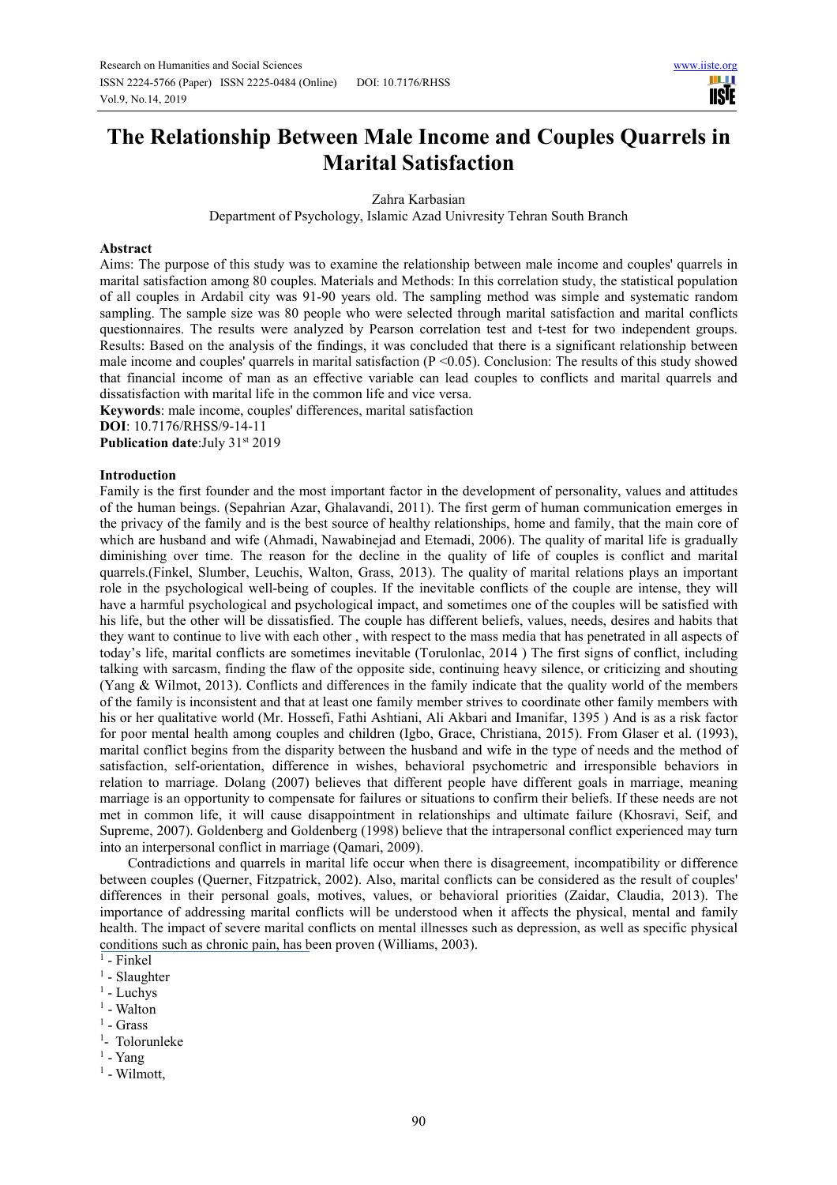# **The Relationship Between Male Income and Couples Quarrels in Marital Satisfaction**

Zahra Karbasian

Department of Psychology, Islamic Azad Univresity Tehran South Branch

## **Abstract**

Aims: The purpose of this study was to examine the relationship between male income and couples' quarrels in marital satisfaction among 80 couples. Materials and Methods: In this correlation study, the statistical population of all couples in Ardabil city was 91-90 years old. The sampling method was simple and systematic random sampling. The sample size was 80 people who were selected through marital satisfaction and marital conflicts questionnaires. The results were analyzed by Pearson correlation test and t-test for two independent groups. Results: Based on the analysis of the findings, it was concluded that there is a significant relationship between male income and couples' quarrels in marital satisfaction (P < 0.05). Conclusion: The results of this study showed that financial income of man as an effective variable can lead couples to conflicts and marital quarrels and dissatisfaction with marital life in the common life and vice versa.

**Keywords**: male income, couples' differences, marital satisfaction

**DOI**: 10.7176/RHSS/9-14-11

**Publication date:**July 31st 2019

## **Introduction**

Family is the first founder and the most important factor in the development of personality, values and attitudes of the human beings. (Sepahrian Azar, Ghalavandi, 2011). The first germ of human communication emerges in the privacy of the family and is the best source of healthy relationships, home and family, that the main core of which are husband and wife (Ahmadi, Nawabinejad and Etemadi, 2006). The quality of marital life is gradually diminishing over time. The reason for the decline in the quality of life of couples is conflict and marital quarrels.(Finkel, Slumber, Leuchis, Walton, Grass, 2013). The quality of marital relations plays an important role in the psychological well-being of couples. If the inevitable conflicts of the couple are intense, they will have a harmful psychological and psychological impact, and sometimes one of the couples will be satisfied with his life, but the other will be dissatisfied. The couple has different beliefs, values, needs, desires and habits that they want to continue to live with each other , with respect to the mass media that has penetrated in all aspects of today's life, marital conflicts are sometimes inevitable (Torulonlac, 2014 ) The first signs of conflict, including talking with sarcasm, finding the flaw of the opposite side, continuing heavy silence, or criticizing and shouting (Yang & Wilmot, 2013). Conflicts and differences in the family indicate that the quality world of the members of the family is inconsistent and that at least one family member strives to coordinate other family members with his or her qualitative world (Mr. Hossefi, Fathi Ashtiani, Ali Akbari and Imanifar, 1395 ) And is as a risk factor for poor mental health among couples and children (Igbo, Grace, Christiana, 2015). From Glaser et al. (1993), marital conflict begins from the disparity between the husband and wife in the type of needs and the method of satisfaction, self-orientation, difference in wishes, behavioral psychometric and irresponsible behaviors in relation to marriage. Dolang (2007) believes that different people have different goals in marriage, meaning marriage is an opportunity to compensate for failures or situations to confirm their beliefs. If these needs are not met in common life, it will cause disappointment in relationships and ultimate failure (Khosravi, Seif, and Supreme, 2007). Goldenberg and Goldenberg (1998) believe that the intrapersonal conflict experienced may turn into an interpersonal conflict in marriage (Qamari, 2009).

Contradictions and quarrels in marital life occur when there is disagreement, incompatibility or difference between couples (Querner, Fitzpatrick, 2002). Also, marital conflicts can be considered as the result of couples' differences in their personal goals, motives, values, or behavioral priorities (Zaidar, Claudia, 2013). The importance of addressing marital conflicts will be understood when it affects the physical, mental and family health. The impact of severe marital conflicts on mental illnesses such as depression, as well as specific physical conditions such as chronic pain, has been proven (Williams, 2003).

- <sup>1</sup> Luchys
- <sup>1</sup> Walton
- $<sup>1</sup>$  Grass</sup>
- <sup>1</sup>- Tolorunleke
- $<sup>1</sup>$  Yang</sup>
- <sup>1</sup> Wilmott,

<sup>&</sup>lt;sup>1</sup> - Finkel

<sup>&</sup>lt;sup>1</sup> - Slaughter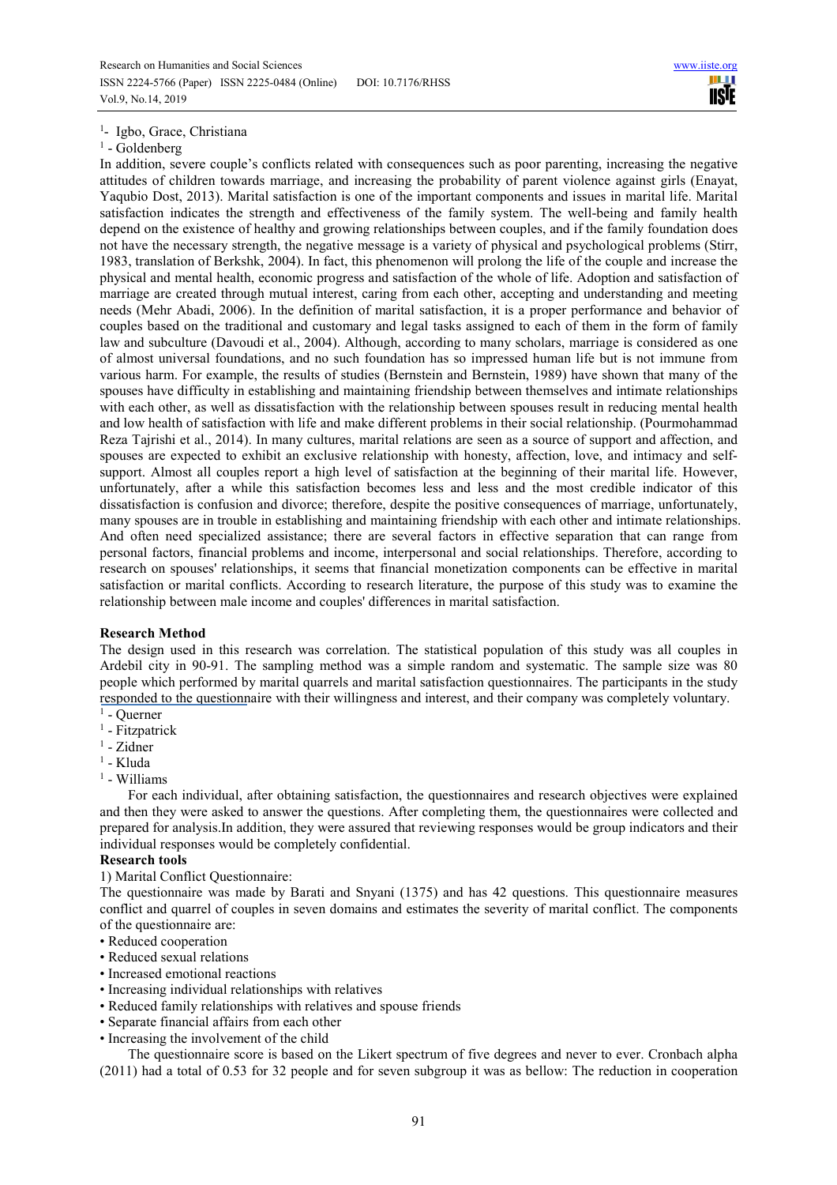# <sup>1</sup>- Igbo, Grace, Christiana

#### <sup>1</sup> - Goldenberg

In addition, severe couple's conflicts related with consequences such as poor parenting, increasing the negative attitudes of children towards marriage, and increasing the probability of parent violence against girls (Enayat, Yaqubio Dost, 2013). Marital satisfaction is one of the important components and issues in marital life. Marital satisfaction indicates the strength and effectiveness of the family system. The well-being and family health depend on the existence of healthy and growing relationships between couples, and if the family foundation does not have the necessary strength, the negative message is a variety of physical and psychological problems (Stirr, 1983, translation of Berkshk, 2004). In fact, this phenomenon will prolong the life of the couple and increase the physical and mental health, economic progress and satisfaction of the whole of life. Adoption and satisfaction of marriage are created through mutual interest, caring from each other, accepting and understanding and meeting needs (Mehr Abadi, 2006). In the definition of marital satisfaction, it is a proper performance and behavior of couples based on the traditional and customary and legal tasks assigned to each of them in the form of family law and subculture (Davoudi et al., 2004). Although, according to many scholars, marriage is considered as one of almost universal foundations, and no such foundation has so impressed human life but is not immune from various harm. For example, the results of studies (Bernstein and Bernstein, 1989) have shown that many of the spouses have difficulty in establishing and maintaining friendship between themselves and intimate relationships with each other, as well as dissatisfaction with the relationship between spouses result in reducing mental health and low health of satisfaction with life and make different problems in their social relationship. (Pourmohammad Reza Tajrishi et al., 2014). In many cultures, marital relations are seen as a source of support and affection, and spouses are expected to exhibit an exclusive relationship with honesty, affection, love, and intimacy and selfsupport. Almost all couples report a high level of satisfaction at the beginning of their marital life. However, unfortunately, after a while this satisfaction becomes less and less and the most credible indicator of this dissatisfaction is confusion and divorce; therefore, despite the positive consequences of marriage, unfortunately, many spouses are in trouble in establishing and maintaining friendship with each other and intimate relationships. And often need specialized assistance; there are several factors in effective separation that can range from personal factors, financial problems and income, interpersonal and social relationships. Therefore, according to research on spouses' relationships, it seems that financial monetization components can be effective in marital satisfaction or marital conflicts. According to research literature, the purpose of this study was to examine the relationship between male income and couples' differences in marital satisfaction.

#### **Research Method**

The design used in this research was correlation. The statistical population of this study was all couples in Ardebil city in 90-91. The sampling method was a simple random and systematic. The sample size was 80 people which performed by marital quarrels and marital satisfaction questionnaires. The participants in the study responded to the questionnaire with their willingness and interest, and their company was completely voluntary.

- $<sup>1</sup>$  Querner</sup>
- <sup>1</sup> Fitzpatrick
- <sup>1</sup> Zidner
- <sup>1</sup> Kluda
- <sup>1</sup> Williams

For each individual, after obtaining satisfaction, the questionnaires and research objectives were explained and then they were asked to answer the questions. After completing them, the questionnaires were collected and prepared for analysis.In addition, they were assured that reviewing responses would be group indicators and their individual responses would be completely confidential.

#### **Research tools**

1) Marital Conflict Questionnaire:

The questionnaire was made by Barati and Snyani (1375) and has 42 questions. This questionnaire measures conflict and quarrel of couples in seven domains and estimates the severity of marital conflict. The components of the questionnaire are:

- Reduced cooperation
- Reduced sexual relations
- Increased emotional reactions
- Increasing individual relationships with relatives
- Reduced family relationships with relatives and spouse friends
- Separate financial affairs from each other
- Increasing the involvement of the child

The questionnaire score is based on the Likert spectrum of five degrees and never to ever. Cronbach alpha (2011) had a total of 0.53 for 32 people and for seven subgroup it was as bellow: The reduction in cooperation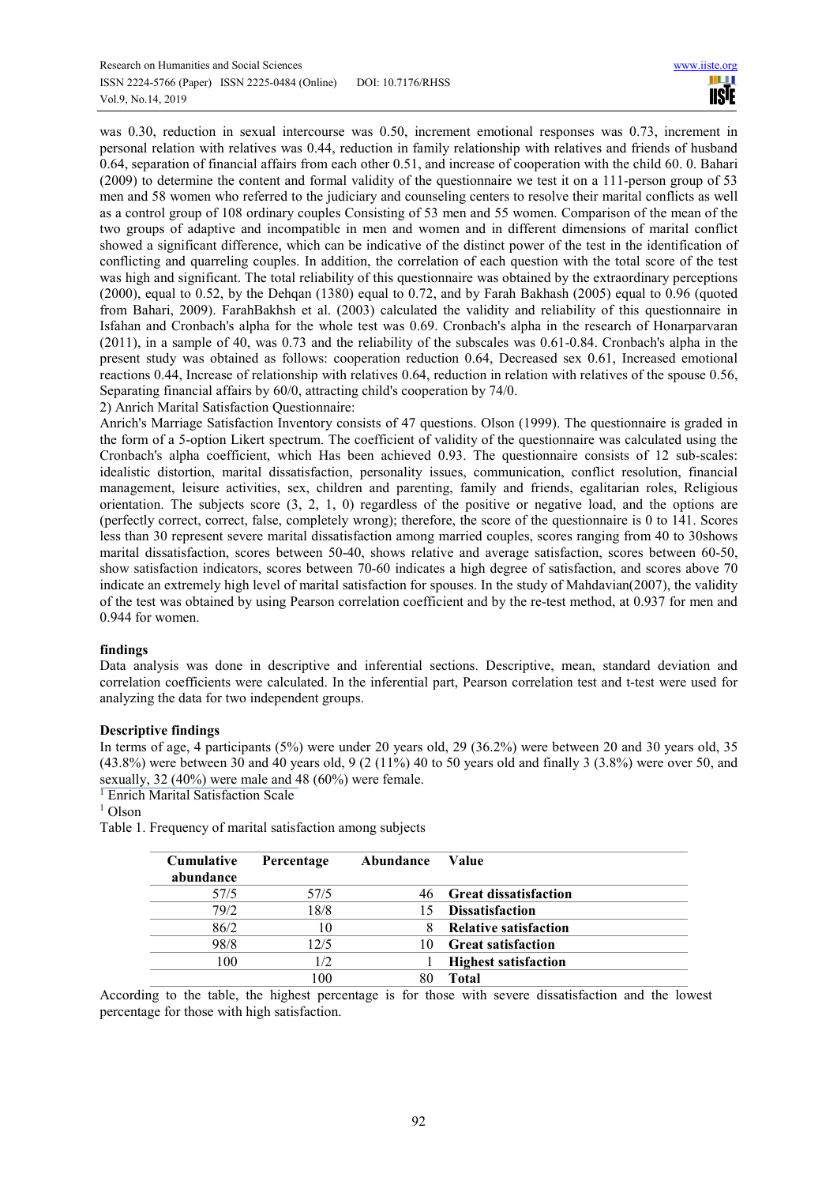was 0.30, reduction in sexual intercourse was 0.50, increment emotional responses was 0.73, increment in personal relation with relatives was 0.44, reduction in family relationship with relatives and friends of husband 0.64, separation of financial affairs from each other 0.51, and increase of cooperation with the child 60. 0. Bahari (2009) to determine the content and formal validity of the questionnaire we test it on a 111-person group of 53 men and 58 women who referred to the judiciary and counseling centers to resolve their marital conflicts as well as a control group of 108 ordinary couples Consisting of 53 men and 55 women. Comparison of the mean of the two groups of adaptive and incompatible in men and women and in different dimensions of marital conflict showed a significant difference, which can be indicative of the distinct power of the test in the identification of conflicting and quarreling couples. In addition, the correlation of each question with the total score of the test was high and significant. The total reliability of this questionnaire was obtained by the extraordinary perceptions (2000), equal to 0.52, by the Dehqan (1380) equal to 0.72, and by Farah Bakhash (2005) equal to 0.96 (quoted from Bahari, 2009). FarahBakhsh et al. (2003) calculated the validity and reliability of this questionnaire in Isfahan and Cronbach's alpha for the whole test was 0.69. Cronbach's alpha in the research of Honarparvaran (2011), in a sample of 40, was 0.73 and the reliability of the subscales was 0.61-0.84. Cronbach's alpha in the present study was obtained as follows: cooperation reduction 0.64, Decreased sex 0.61, Increased emotional reactions 0.44, Increase of relationship with relatives 0.64, reduction in relation with relatives of the spouse 0.56, Separating financial affairs by 60/0, attracting child's cooperation by 74/0.

2) Anrich Marital Satisfaction Questionnaire:

Anrich's Marriage Satisfaction Inventory consists of 47 questions. Olson (1999). The questionnaire is graded in the form of a 5-option Likert spectrum. The coefficient of validity of the questionnaire was calculated using the Cronbach's alpha coefficient, which Has been achieved 0.93. The questionnaire consists of 12 sub-scales: idealistic distortion, marital dissatisfaction, personality issues, communication, conflict resolution, financial management, leisure activities, sex, children and parenting, family and friends, egalitarian roles, Religious orientation. The subjects score (3, 2, 1, 0) regardless of the positive or negative load, and the options are (perfectly correct, correct, false, completely wrong); therefore, the score of the questionnaire is 0 to 141. Scores less than 30 represent severe marital dissatisfaction among married couples, scores ranging from 40 to 30shows marital dissatisfaction, scores between 50-40, shows relative and average satisfaction, scores between 60-50, show satisfaction indicators, scores between 70-60 indicates a high degree of satisfaction, and scores above 70 indicate an extremely high level of marital satisfaction for spouses. In the study of Mahdavian(2007), the validity of the test was obtained by using Pearson correlation coefficient and by the re-test method, at 0.937 for men and 0.944 for women.

# **findings**

Data analysis was done in descriptive and inferential sections. Descriptive, mean, standard deviation and correlation coefficients were calculated. In the inferential part, Pearson correlation test and t-test were used for analyzing the data for two independent groups.

# **Descriptive findings**

In terms of age, 4 participants (5%) were under 20 years old, 29 (36.2%) were between 20 and 30 years old, 35 (43.8%) were between 30 and 40 years old, 9 (2 (11%) 40 to 50 years old and finally 3 (3.8%) were over 50, and sexually, 32 (40%) were male and 48 (60%) were female.

<sup>I</sup> Enrich Marital Satisfaction Scale

<sup>1</sup> Olson

Table 1. Frequency of marital satisfaction among subjects

| <b>Cumulative</b><br>abundance | Percentage | Abundance | Value                        |
|--------------------------------|------------|-----------|------------------------------|
| 57/5                           | 57/5       |           | 46 Great dissatisfaction     |
| 79/2                           | 18/8       | 15.       | <b>Dissatisfaction</b>       |
| 86/2                           | 10         |           | <b>Relative satisfaction</b> |
| 98/8                           | 12/5       | 10        | <b>Great satisfaction</b>    |
| 100                            | 1/2        |           | <b>Highest satisfaction</b>  |
|                                | 100        |           | <b>Total</b>                 |

According to the table, the highest percentage is for those with severe dissatisfaction and the lowest percentage for those with high satisfaction.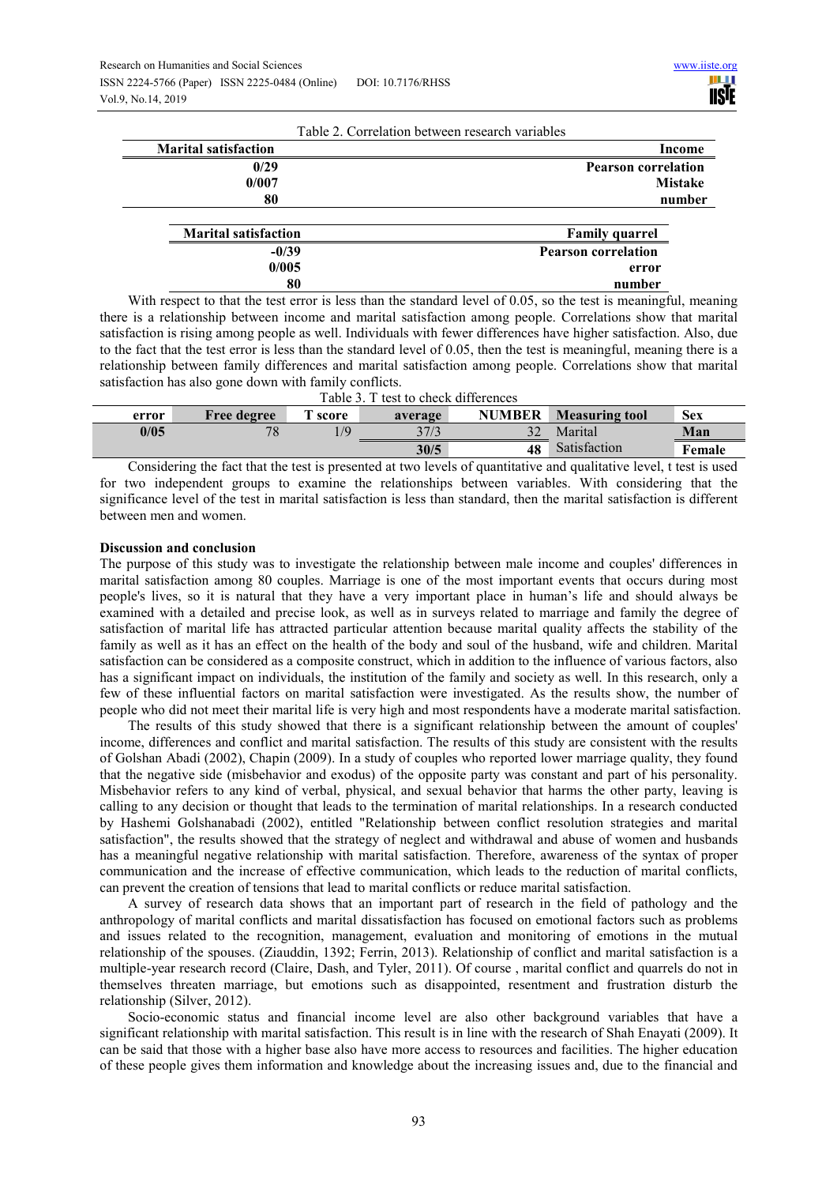**80** 

 **number**

|                             | Table 2. Correlation between research variables |                |  |  |
|-----------------------------|-------------------------------------------------|----------------|--|--|
| <b>Marital satisfaction</b> |                                                 | Income         |  |  |
| 0/29                        | <b>Pearson correlation</b>                      |                |  |  |
| 0/007                       |                                                 | <b>Mistake</b> |  |  |
| 80                          |                                                 | number         |  |  |
|                             |                                                 |                |  |  |
| <b>Marital satisfaction</b> | <b>Family quarrel</b>                           |                |  |  |
| $-0/39$                     | <b>Pearson correlation</b>                      |                |  |  |
| 0/005                       | error                                           |                |  |  |

With respect to that the test error is less than the standard level of 0.05, so the test is meaningful, meaning there is a relationship between income and marital satisfaction among people. Correlations show that marital satisfaction is rising among people as well. Individuals with fewer differences have higher satisfaction. Also, due to the fact that the test error is less than the standard level of 0.05, then the test is meaningful, meaning there is a relationship between family differences and marital satisfaction among people. Correlations show that marital satisfaction has also gone down with family conflicts.

| Table 3. T test to check differences |                    |                                                                                                                                                                                                                                                                                                                                                                                                                                                                                                                                                                                                   |         |               |                       |            |  |  |  |
|--------------------------------------|--------------------|---------------------------------------------------------------------------------------------------------------------------------------------------------------------------------------------------------------------------------------------------------------------------------------------------------------------------------------------------------------------------------------------------------------------------------------------------------------------------------------------------------------------------------------------------------------------------------------------------|---------|---------------|-----------------------|------------|--|--|--|
| error                                | <b>Free degree</b> | $\mathbf{{\color{red}\mathbf{{\color{blue}\mathbf{{\color{blue}\mathbf{{\color{blue}\mathbf{{\color{blue}\mathbf{{\color{blue}\mathbf{{\color{blue}\mathbf{{\color{blue}\mathbf{{\color{blue}\mathbf{{\color{blue}\mathbf{{\color{blue}\mathbf{{\color{blue}\mathbf{{\color{blue}\mathbf{{\color{blue}\mathbf{{\color{blue}\mathbf{{\color{blue}\mathbf{{\color{blue}\mathbf{{\color{blue}\mathbf{{\color{blue}\mathbf{{\color{blue}\mathbf{{\color{blue}\mathbf{{\color{blue}\mathbf{{\color{blue}\mathbf{{\color{blue}\mathbf{{\color{blue}\mathbf{{\color{blue}\mathbf{{\color{blue}\mathbf{{$ | average | <b>NUMBER</b> | <b>Measuring tool</b> | <b>Sex</b> |  |  |  |
| 0/05                                 | 78                 | /9                                                                                                                                                                                                                                                                                                                                                                                                                                                                                                                                                                                                | 37/3    |               | Marital               | Man        |  |  |  |
|                                      |                    |                                                                                                                                                                                                                                                                                                                                                                                                                                                                                                                                                                                                   | 30/5    | 48            | Satisfaction          | Female     |  |  |  |

Considering the fact that the test is presented at two levels of quantitative and qualitative level, t test is used for two independent groups to examine the relationships between variables. With considering that the significance level of the test in marital satisfaction is less than standard, then the marital satisfaction is different between men and women.

# **Discussion and conclusion**

The purpose of this study was to investigate the relationship between male income and couples' differences in marital satisfaction among 80 couples. Marriage is one of the most important events that occurs during most people's lives, so it is natural that they have a very important place in human's life and should always be examined with a detailed and precise look, as well as in surveys related to marriage and family the degree of satisfaction of marital life has attracted particular attention because marital quality affects the stability of the family as well as it has an effect on the health of the body and soul of the husband, wife and children. Marital satisfaction can be considered as a composite construct, which in addition to the influence of various factors, also has a significant impact on individuals, the institution of the family and society as well. In this research, only a few of these influential factors on marital satisfaction were investigated. As the results show, the number of people who did not meet their marital life is very high and most respondents have a moderate marital satisfaction.

The results of this study showed that there is a significant relationship between the amount of couples' income, differences and conflict and marital satisfaction. The results of this study are consistent with the results of Golshan Abadi (2002), Chapin (2009). In a study of couples who reported lower marriage quality, they found that the negative side (misbehavior and exodus) of the opposite party was constant and part of his personality. Misbehavior refers to any kind of verbal, physical, and sexual behavior that harms the other party, leaving is calling to any decision or thought that leads to the termination of marital relationships. In a research conducted by Hashemi Golshanabadi (2002), entitled "Relationship between conflict resolution strategies and marital satisfaction", the results showed that the strategy of neglect and withdrawal and abuse of women and husbands has a meaningful negative relationship with marital satisfaction. Therefore, awareness of the syntax of proper communication and the increase of effective communication, which leads to the reduction of marital conflicts, can prevent the creation of tensions that lead to marital conflicts or reduce marital satisfaction.

A survey of research data shows that an important part of research in the field of pathology and the anthropology of marital conflicts and marital dissatisfaction has focused on emotional factors such as problems and issues related to the recognition, management, evaluation and monitoring of emotions in the mutual relationship of the spouses. (Ziauddin, 1392; Ferrin, 2013). Relationship of conflict and marital satisfaction is a multiple-year research record (Claire, Dash, and Tyler, 2011). Of course , marital conflict and quarrels do not in themselves threaten marriage, but emotions such as disappointed, resentment and frustration disturb the relationship (Silver, 2012).

Socio-economic status and financial income level are also other background variables that have a significant relationship with marital satisfaction. This result is in line with the research of Shah Enayati (2009). It can be said that those with a higher base also have more access to resources and facilities. The higher education of these people gives them information and knowledge about the increasing issues and, due to the financial and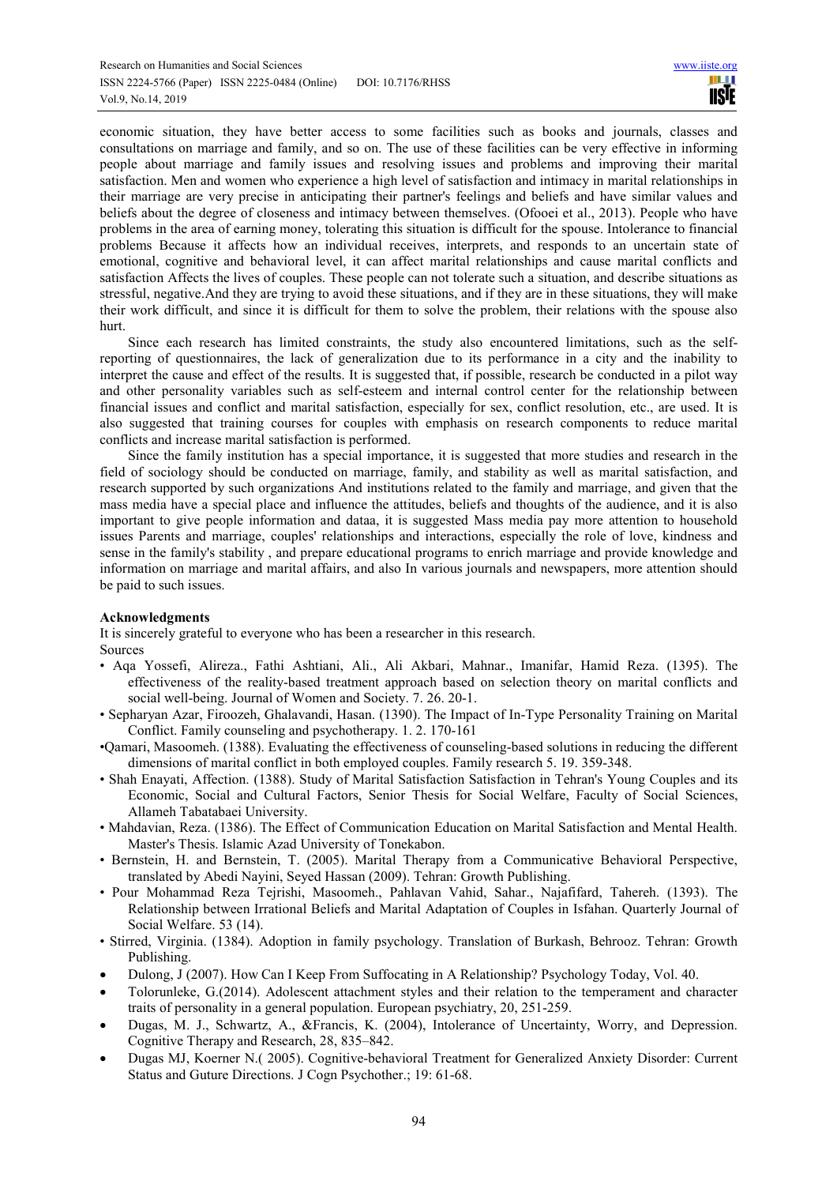economic situation, they have better access to some facilities such as books and journals, classes and consultations on marriage and family, and so on. The use of these facilities can be very effective in informing people about marriage and family issues and resolving issues and problems and improving their marital satisfaction. Men and women who experience a high level of satisfaction and intimacy in marital relationships in their marriage are very precise in anticipating their partner's feelings and beliefs and have similar values and beliefs about the degree of closeness and intimacy between themselves. (Ofooei et al., 2013). People who have problems in the area of earning money, tolerating this situation is difficult for the spouse. Intolerance to financial problems Because it affects how an individual receives, interprets, and responds to an uncertain state of emotional, cognitive and behavioral level, it can affect marital relationships and cause marital conflicts and satisfaction Affects the lives of couples. These people can not tolerate such a situation, and describe situations as stressful, negative.And they are trying to avoid these situations, and if they are in these situations, they will make their work difficult, and since it is difficult for them to solve the problem, their relations with the spouse also hurt.

Since each research has limited constraints, the study also encountered limitations, such as the selfreporting of questionnaires, the lack of generalization due to its performance in a city and the inability to interpret the cause and effect of the results. It is suggested that, if possible, research be conducted in a pilot way and other personality variables such as self-esteem and internal control center for the relationship between financial issues and conflict and marital satisfaction, especially for sex, conflict resolution, etc., are used. It is also suggested that training courses for couples with emphasis on research components to reduce marital conflicts and increase marital satisfaction is performed.

Since the family institution has a special importance, it is suggested that more studies and research in the field of sociology should be conducted on marriage, family, and stability as well as marital satisfaction, and research supported by such organizations And institutions related to the family and marriage, and given that the mass media have a special place and influence the attitudes, beliefs and thoughts of the audience, and it is also important to give people information and dataa, it is suggested Mass media pay more attention to household issues Parents and marriage, couples' relationships and interactions, especially the role of love, kindness and sense in the family's stability , and prepare educational programs to enrich marriage and provide knowledge and information on marriage and marital affairs, and also In various journals and newspapers, more attention should be paid to such issues.

#### **Acknowledgments**

It is sincerely grateful to everyone who has been a researcher in this research. Sources

- Aqa Yossefi, Alireza., Fathi Ashtiani, Ali., Ali Akbari, Mahnar., Imanifar, Hamid Reza. (1395). The effectiveness of the reality-based treatment approach based on selection theory on marital conflicts and social well-being. Journal of Women and Society. 7. 26. 20-1.
- Sepharyan Azar, Firoozeh, Ghalavandi, Hasan. (1390). The Impact of In-Type Personality Training on Marital Conflict. Family counseling and psychotherapy. 1. 2. 170-161
- •Qamari, Masoomeh. (1388). Evaluating the effectiveness of counseling-based solutions in reducing the different dimensions of marital conflict in both employed couples. Family research 5. 19. 359-348.
- Shah Enayati, Affection. (1388). Study of Marital Satisfaction Satisfaction in Tehran's Young Couples and its Economic, Social and Cultural Factors, Senior Thesis for Social Welfare, Faculty of Social Sciences, Allameh Tabatabaei University.
- Mahdavian, Reza. (1386). The Effect of Communication Education on Marital Satisfaction and Mental Health. Master's Thesis. Islamic Azad University of Tonekabon.
- Bernstein, H. and Bernstein, T. (2005). Marital Therapy from a Communicative Behavioral Perspective, translated by Abedi Nayini, Seyed Hassan (2009). Tehran: Growth Publishing.
- Pour Mohammad Reza Tejrishi, Masoomeh., Pahlavan Vahid, Sahar., Najafifard, Tahereh. (1393). The Relationship between Irrational Beliefs and Marital Adaptation of Couples in Isfahan. Quarterly Journal of Social Welfare. 53 (14).
- Stirred, Virginia. (1384). Adoption in family psychology. Translation of Burkash, Behrooz. Tehran: Growth Publishing.
- Dulong, J (2007). How Can I Keep From Suffocating in A Relationship? Psychology Today, Vol. 40.
- Tolorunleke, G.(2014). Adolescent attachment styles and their relation to the temperament and character traits of personality in a general population. European psychiatry, 20, 251-259.
- Dugas, M. J., Schwartz, A., &Francis, K. (2004), Intolerance of Uncertainty, Worry, and Depression. Cognitive Therapy and Research, 28, 835–842.
- Dugas MJ, Koerner N.( 2005). Cognitive-behavioral Treatment for Generalized Anxiety Disorder: Current Status and Guture Directions. J Cogn Psychother.; 19: 61-68.